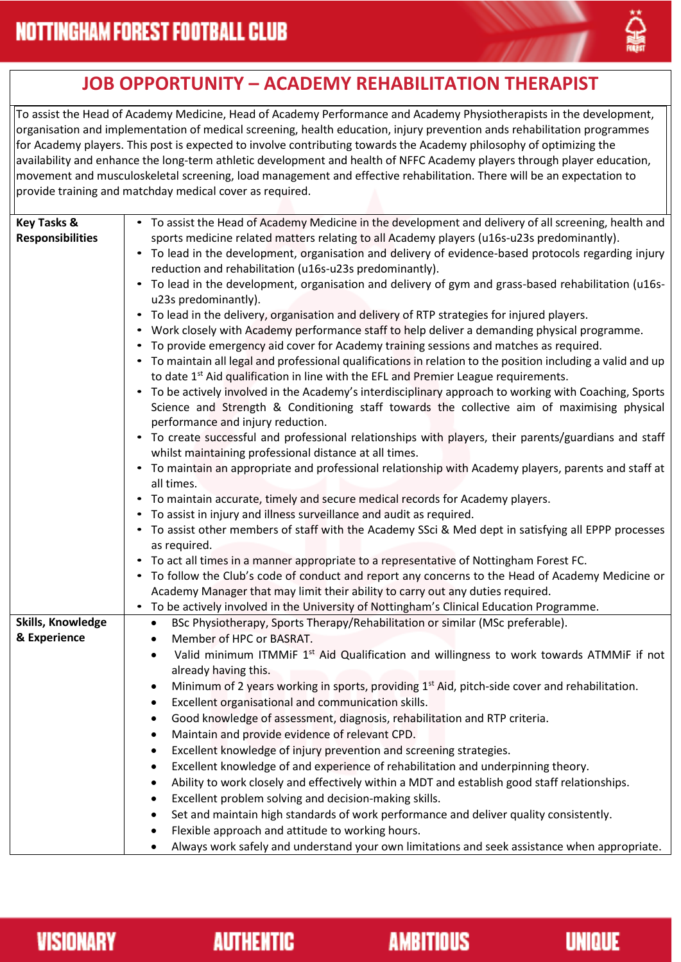

## **JOB OPPORTUNITY – ACADEMY REHABILITATION THERAPIST**

To assist the Head of Academy Medicine, Head of Academy Performance and Academy Physiotherapists in the development, organisation and implementation of medical screening, health education, injury prevention ands rehabilitation programmes for Academy players. This post is expected to involve contributing towards the Academy philosophy of optimizing the availability and enhance the long-term athletic development and health of NFFC Academy players through player education, movement and musculoskeletal screening, load management and effective rehabilitation. There will be an expectation to provide training and matchday medical cover as required.

| <b>Key Tasks &amp;</b><br><b>Responsibilities</b> | • To assist the Head of Academy Medicine in the development and delivery of all screening, health and<br>sports medicine related matters relating to all Academy players (u16s-u23s predominantly).<br>• To lead in the development, organisation and delivery of evidence-based protocols regarding injury<br>reduction and rehabilitation (u16s-u23s predominantly).<br>To lead in the development, organisation and delivery of gym and grass-based rehabilitation (u16s-<br>u23s predominantly).<br>To lead in the delivery, organisation and delivery of RTP strategies for injured players.<br>$\bullet$<br>Work closely with Academy performance staff to help deliver a demanding physical programme.<br>To provide emergency aid cover for Academy training sessions and matches as required.<br>• To maintain all legal and professional qualifications in relation to the position including a valid and up<br>to date 1 <sup>st</sup> Aid qualification in line with the EFL and Premier League requirements.<br>To be actively involved in the Academy's interdisciplinary approach to working with Coaching, Sports<br>$\bullet$<br>Science and Strength & Conditioning staff towards the collective aim of maximising physical<br>performance and injury reduction.<br>• To create successful and professional relationships with players, their parents/guardians and staff<br>whilst maintaining professional distance at all times.<br>• To maintain an appropriate and professional relationship with Academy players, parents and staff at<br>all times.<br>To maintain accurate, timely and secure medical records for Academy players.<br>To assist in injury and illness surveillance and audit as required.<br>• To assist other members of staff with the Academy SSci & Med dept in satisfying all EPPP processes<br>as required.<br>To act all times in a manner appropriate to a representative of Nottingham Forest FC.<br>$\bullet$<br>To follow the Club's code of conduct and report any concerns to the Head of Academy Medicine or |
|---------------------------------------------------|----------------------------------------------------------------------------------------------------------------------------------------------------------------------------------------------------------------------------------------------------------------------------------------------------------------------------------------------------------------------------------------------------------------------------------------------------------------------------------------------------------------------------------------------------------------------------------------------------------------------------------------------------------------------------------------------------------------------------------------------------------------------------------------------------------------------------------------------------------------------------------------------------------------------------------------------------------------------------------------------------------------------------------------------------------------------------------------------------------------------------------------------------------------------------------------------------------------------------------------------------------------------------------------------------------------------------------------------------------------------------------------------------------------------------------------------------------------------------------------------------------------------------------------------------------------------------------------------------------------------------------------------------------------------------------------------------------------------------------------------------------------------------------------------------------------------------------------------------------------------------------------------------------------------------------------------------------------------------------------------------------------------------------------------------------------------|
|                                                   | Academy Manager that may limit their ability to carry out any duties required.                                                                                                                                                                                                                                                                                                                                                                                                                                                                                                                                                                                                                                                                                                                                                                                                                                                                                                                                                                                                                                                                                                                                                                                                                                                                                                                                                                                                                                                                                                                                                                                                                                                                                                                                                                                                                                                                                                                                                                                       |
|                                                   | To be actively involved in the University of Nottingham's Clinical Education Programme.<br>$\bullet$                                                                                                                                                                                                                                                                                                                                                                                                                                                                                                                                                                                                                                                                                                                                                                                                                                                                                                                                                                                                                                                                                                                                                                                                                                                                                                                                                                                                                                                                                                                                                                                                                                                                                                                                                                                                                                                                                                                                                                 |
| Skills, Knowledge                                 | BSc Physiotherapy, Sports Therapy/Rehabilitation or similar (MSc preferable).<br>$\bullet$                                                                                                                                                                                                                                                                                                                                                                                                                                                                                                                                                                                                                                                                                                                                                                                                                                                                                                                                                                                                                                                                                                                                                                                                                                                                                                                                                                                                                                                                                                                                                                                                                                                                                                                                                                                                                                                                                                                                                                           |
| & Experience                                      | Member of HPC or BASRAT.<br>٠                                                                                                                                                                                                                                                                                                                                                                                                                                                                                                                                                                                                                                                                                                                                                                                                                                                                                                                                                                                                                                                                                                                                                                                                                                                                                                                                                                                                                                                                                                                                                                                                                                                                                                                                                                                                                                                                                                                                                                                                                                        |
|                                                   | Valid minimum ITMMiF 1 <sup>st</sup> Aid Qualification and willingness to work towards ATMMiF if not<br>٠<br>already having this.                                                                                                                                                                                                                                                                                                                                                                                                                                                                                                                                                                                                                                                                                                                                                                                                                                                                                                                                                                                                                                                                                                                                                                                                                                                                                                                                                                                                                                                                                                                                                                                                                                                                                                                                                                                                                                                                                                                                    |
|                                                   |                                                                                                                                                                                                                                                                                                                                                                                                                                                                                                                                                                                                                                                                                                                                                                                                                                                                                                                                                                                                                                                                                                                                                                                                                                                                                                                                                                                                                                                                                                                                                                                                                                                                                                                                                                                                                                                                                                                                                                                                                                                                      |
|                                                   | Minimum of 2 years working in sports, providing 1 <sup>st</sup> Aid, pitch-side cover and rehabilitation.                                                                                                                                                                                                                                                                                                                                                                                                                                                                                                                                                                                                                                                                                                                                                                                                                                                                                                                                                                                                                                                                                                                                                                                                                                                                                                                                                                                                                                                                                                                                                                                                                                                                                                                                                                                                                                                                                                                                                            |
|                                                   | Excellent organisational and communication skills.<br>$\bullet$                                                                                                                                                                                                                                                                                                                                                                                                                                                                                                                                                                                                                                                                                                                                                                                                                                                                                                                                                                                                                                                                                                                                                                                                                                                                                                                                                                                                                                                                                                                                                                                                                                                                                                                                                                                                                                                                                                                                                                                                      |
|                                                   | Good knowledge of assessment, diagnosis, rehabilitation and RTP criteria.                                                                                                                                                                                                                                                                                                                                                                                                                                                                                                                                                                                                                                                                                                                                                                                                                                                                                                                                                                                                                                                                                                                                                                                                                                                                                                                                                                                                                                                                                                                                                                                                                                                                                                                                                                                                                                                                                                                                                                                            |
|                                                   | Maintain and provide evidence of relevant CPD.                                                                                                                                                                                                                                                                                                                                                                                                                                                                                                                                                                                                                                                                                                                                                                                                                                                                                                                                                                                                                                                                                                                                                                                                                                                                                                                                                                                                                                                                                                                                                                                                                                                                                                                                                                                                                                                                                                                                                                                                                       |
|                                                   | Excellent knowledge of injury prevention and screening strategies.                                                                                                                                                                                                                                                                                                                                                                                                                                                                                                                                                                                                                                                                                                                                                                                                                                                                                                                                                                                                                                                                                                                                                                                                                                                                                                                                                                                                                                                                                                                                                                                                                                                                                                                                                                                                                                                                                                                                                                                                   |
|                                                   | Excellent knowledge of and experience of rehabilitation and underpinning theory.                                                                                                                                                                                                                                                                                                                                                                                                                                                                                                                                                                                                                                                                                                                                                                                                                                                                                                                                                                                                                                                                                                                                                                                                                                                                                                                                                                                                                                                                                                                                                                                                                                                                                                                                                                                                                                                                                                                                                                                     |
|                                                   | Ability to work closely and effectively within a MDT and establish good staff relationships.                                                                                                                                                                                                                                                                                                                                                                                                                                                                                                                                                                                                                                                                                                                                                                                                                                                                                                                                                                                                                                                                                                                                                                                                                                                                                                                                                                                                                                                                                                                                                                                                                                                                                                                                                                                                                                                                                                                                                                         |
|                                                   | Excellent problem solving and decision-making skills.                                                                                                                                                                                                                                                                                                                                                                                                                                                                                                                                                                                                                                                                                                                                                                                                                                                                                                                                                                                                                                                                                                                                                                                                                                                                                                                                                                                                                                                                                                                                                                                                                                                                                                                                                                                                                                                                                                                                                                                                                |
|                                                   | Set and maintain high standards of work performance and deliver quality consistently.                                                                                                                                                                                                                                                                                                                                                                                                                                                                                                                                                                                                                                                                                                                                                                                                                                                                                                                                                                                                                                                                                                                                                                                                                                                                                                                                                                                                                                                                                                                                                                                                                                                                                                                                                                                                                                                                                                                                                                                |
|                                                   | Flexible approach and attitude to working hours.                                                                                                                                                                                                                                                                                                                                                                                                                                                                                                                                                                                                                                                                                                                                                                                                                                                                                                                                                                                                                                                                                                                                                                                                                                                                                                                                                                                                                                                                                                                                                                                                                                                                                                                                                                                                                                                                                                                                                                                                                     |
|                                                   | Always work safely and understand your own limitations and seek assistance when appropriate.                                                                                                                                                                                                                                                                                                                                                                                                                                                                                                                                                                                                                                                                                                                                                                                                                                                                                                                                                                                                                                                                                                                                                                                                                                                                                                                                                                                                                                                                                                                                                                                                                                                                                                                                                                                                                                                                                                                                                                         |

**AMBITIOUS** 

**UNIQUE**